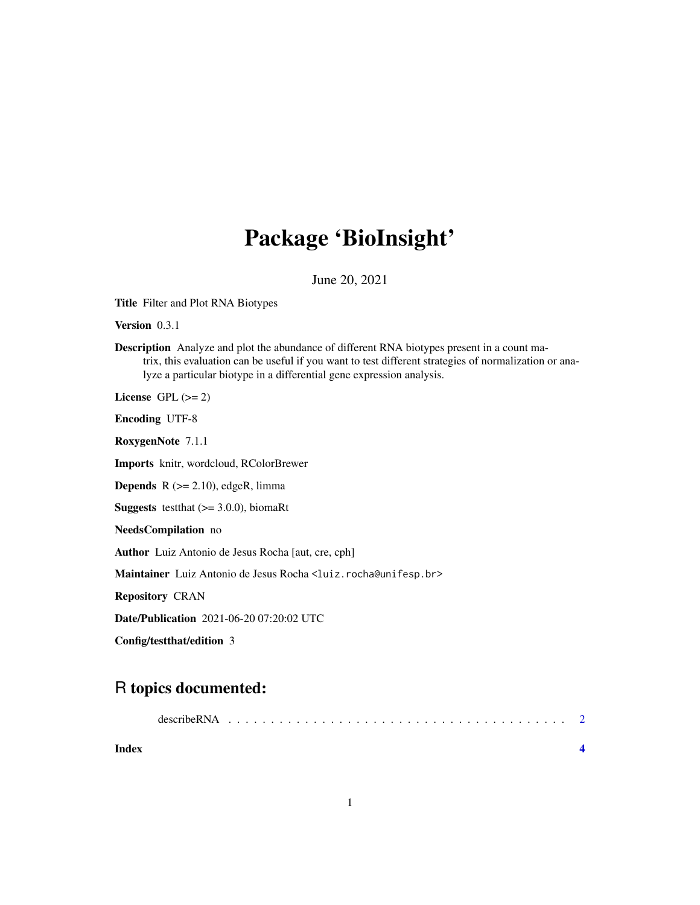## Package 'BioInsight'

June 20, 2021

Title Filter and Plot RNA Biotypes

Version 0.3.1

Description Analyze and plot the abundance of different RNA biotypes present in a count matrix, this evaluation can be useful if you want to test different strategies of normalization or analyze a particular biotype in a differential gene expression analysis.

License GPL  $(>= 2)$ 

Encoding UTF-8

RoxygenNote 7.1.1

Imports knitr, wordcloud, RColorBrewer

**Depends**  $R$  ( $>= 2.10$ ), edgeR, limma

**Suggests** testthat  $(>= 3.0.0)$ , biomaRt

NeedsCompilation no

Author Luiz Antonio de Jesus Rocha [aut, cre, cph]

Maintainer Luiz Antonio de Jesus Rocha <luiz.rocha@unifesp.br>

Repository CRAN

Date/Publication 2021-06-20 07:20:02 UTC

Config/testthat/edition 3

### R topics documented:

| Index |  |  |  |  |  |  |  |  |  |  |  |  |  |  |  |  |
|-------|--|--|--|--|--|--|--|--|--|--|--|--|--|--|--|--|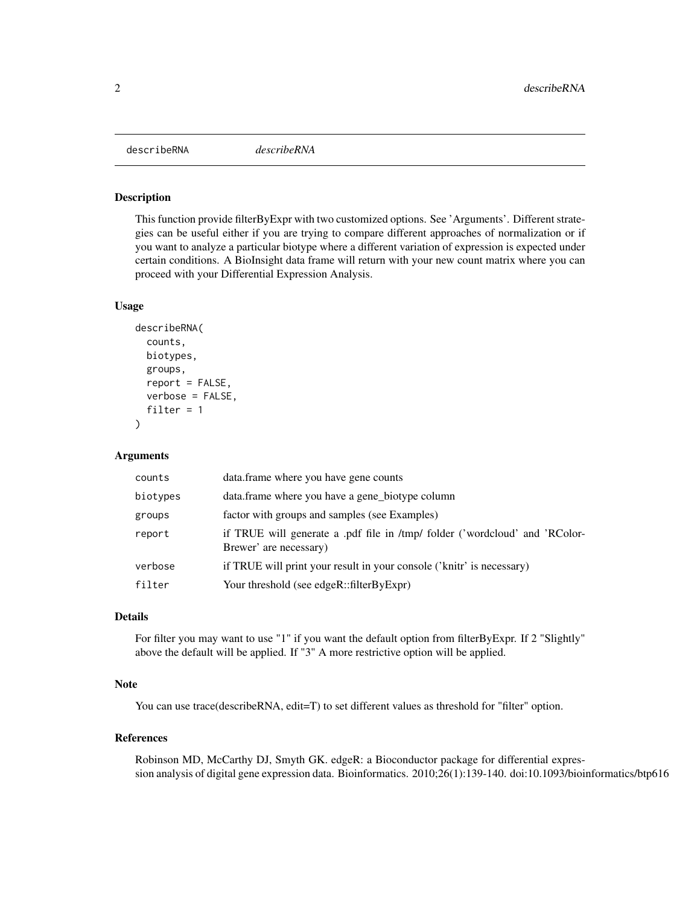<span id="page-1-0"></span>describeRNA *describeRNA*

#### Description

This function provide filterByExpr with two customized options. See 'Arguments'. Different strategies can be useful either if you are trying to compare different approaches of normalization or if you want to analyze a particular biotype where a different variation of expression is expected under certain conditions. A BioInsight data frame will return with your new count matrix where you can proceed with your Differential Expression Analysis.

#### Usage

```
describeRNA(
  counts,
 biotypes,
 groups,
  report = FALSE,verbose = FALSE,
  filter = 1)
```
#### Arguments

| counts   | data.frame where you have gene counts                                                                 |
|----------|-------------------------------------------------------------------------------------------------------|
| biotypes | data.frame where you have a gene_biotype column                                                       |
| groups   | factor with groups and samples (see Examples)                                                         |
| report   | if TRUE will generate a .pdf file in /tmp/ folder ('wordcloud' and 'RColor-<br>Brewer' are necessary) |
| verbose  | if TRUE will print your result in your console ('knitr' is necessary)                                 |
| filter   | Your threshold (see edgeR::filterByExpr)                                                              |

#### Details

For filter you may want to use "1" if you want the default option from filterByExpr. If 2 "Slightly" above the default will be applied. If "3" A more restrictive option will be applied.

#### Note

You can use trace(describeRNA, edit=T) to set different values as threshold for "filter" option.

#### References

Robinson MD, McCarthy DJ, Smyth GK. edgeR: a Bioconductor package for differential expression analysis of digital gene expression data. Bioinformatics. 2010;26(1):139-140. doi:10.1093/bioinformatics/btp616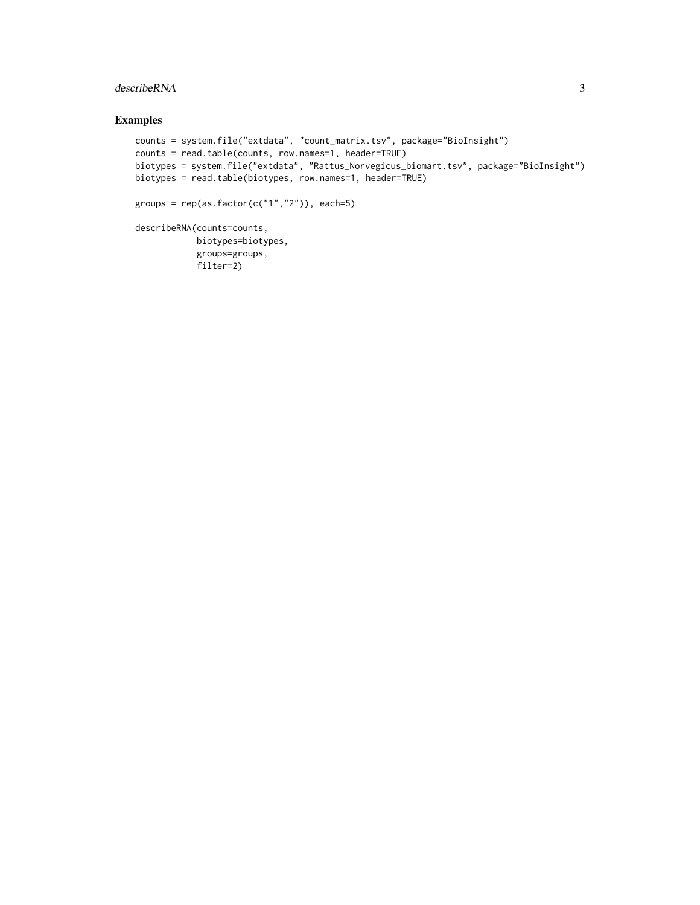#### describeRNA 3

#### Examples

```
counts = system.file("extdata", "count_matrix.tsv", package="BioInsight")
counts = read.table(counts, row.names=1, header=TRUE)
biotypes = system.file("extdata", "Rattus_Norvegicus_biomart.tsv", package="BioInsight")
biotypes = read.table(biotypes, row.names=1, header=TRUE)
groups = rep(as.factor(c("1", "2")), each=5)
describeRNA(counts=counts,
            biotypes=biotypes,
            groups=groups,
            filter=2)
```